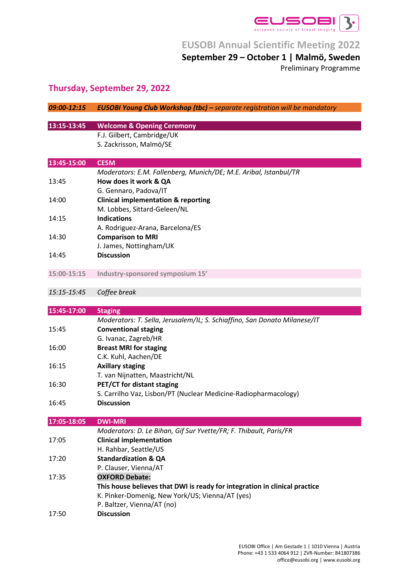

### **September 29 – October 1 | Malmö, Sweden**

Preliminary Programme

## **Thursday, September 29, 2022**

| 09:00-12:15 | <b>EUSOBI Young Club Workshop (tbc)</b> - separate registration will be mandatory                   |
|-------------|-----------------------------------------------------------------------------------------------------|
|             |                                                                                                     |
| 13:15-13:45 | <b>Welcome &amp; Opening Ceremony</b><br>F.J. Gilbert, Cambridge/UK                                 |
|             | S. Zackrisson, Malmö/SE                                                                             |
|             |                                                                                                     |
| 13:45-15:00 | <b>CESM</b>                                                                                         |
|             | Moderators: E.M. Fallenberg, Munich/DE; M.E. Aribal, Istanbul/TR                                    |
| 13:45       | How does it work & QA                                                                               |
|             | G. Gennaro, Padova/IT                                                                               |
| 14:00       | <b>Clinical implementation &amp; reporting</b>                                                      |
|             | M. Lobbes, Sittard-Geleen/NL                                                                        |
| 14:15       | <b>Indications</b><br>A. Rodriguez-Arana, Barcelona/ES                                              |
| 14:30       | <b>Comparison to MRI</b>                                                                            |
|             | J. James, Nottingham/UK                                                                             |
| 14:45       | <b>Discussion</b>                                                                                   |
|             |                                                                                                     |
| 15:00-15:15 | Industry-sponsored symposium 15'                                                                    |
|             |                                                                                                     |
| 15:15-15:45 | Coffee break                                                                                        |
| 15:45-17:00 | <b>Staging</b>                                                                                      |
|             | Moderators: T. Sella, Jerusalem/IL; S. Schiaffino, San Donato Milanese/IT                           |
| 15:45       | <b>Conventional staging</b>                                                                         |
|             | G. Ivanac, Zagreb/HR                                                                                |
| 16:00       | <b>Breast MRI for staging</b>                                                                       |
|             | C.K. Kuhl, Aachen/DE                                                                                |
| 16:15       | <b>Axillary staging</b><br>T. van Nijnatten, Maastricht/NL                                          |
| 16:30       | PET/CT for distant staging                                                                          |
|             | S. Carrilho Vaz, Lisbon/PT (Nuclear Medicine-Radiopharmacology)                                     |
| 16:45       | <b>Discussion</b>                                                                                   |
|             |                                                                                                     |
| 17:05-18:05 | <b>DWI-MRI</b>                                                                                      |
| 17:05       | Moderators: D. Le Bihan, Gif Sur Yvette/FR; F. Thibault, Paris/FR<br><b>Clinical implementation</b> |
|             | H. Rahbar, Seattle/US                                                                               |
| 17:20       | <b>Standardization &amp; QA</b>                                                                     |
|             | P. Clauser, Vienna/AT                                                                               |
| 17:35       | <b>OXFORD Debate:</b>                                                                               |
|             | This house believes that DWI is ready for integration in clinical practice                          |
|             | K. Pinker-Domenig, New York/US; Vienna/AT (yes)                                                     |
|             | P. Baltzer, Vienna/AT (no)                                                                          |
| 17:50       | <b>Discussion</b>                                                                                   |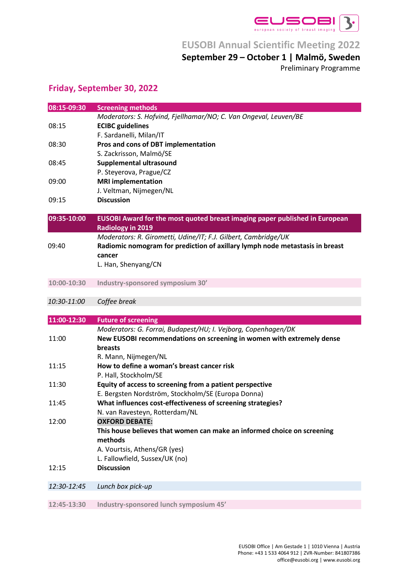

### **September 29 – October 1 | Malmö, Sweden**

Preliminary Programme

### **Friday, September 30, 2022**

| 08:15-09:30 | <b>Screening methods</b>                                                     |
|-------------|------------------------------------------------------------------------------|
|             | Moderators: S. Hofvind, Fjellhamar/NO; C. Van Ongeval, Leuven/BE             |
| 08:15       | <b>ECIBC</b> guidelines                                                      |
|             | F. Sardanelli, Milan/IT                                                      |
| 08:30       | Pros and cons of DBT implementation                                          |
|             | S. Zackrisson, Malmö/SE                                                      |
| 08:45       | Supplemental ultrasound                                                      |
|             | P. Steyerova, Prague/CZ                                                      |
| 09:00       | <b>MRI implementation</b>                                                    |
|             | J. Veltman, Nijmegen/NL                                                      |
| 09:15       | <b>Discussion</b>                                                            |
| 09:35-10:00 | EUSOBI Award for the most quoted breast imaging paper published in European  |
|             | <b>Radiology in 2019</b>                                                     |
|             | Moderators: R. Girometti, Udine/IT; F.J. Gilbert, Cambridge/UK               |
| 09:40       | Radiomic nomogram for prediction of axillary lymph node metastasis in breast |
|             | cancer                                                                       |
|             | L. Han, Shenyang/CN                                                          |
| 10:00-10:30 | Industry-sponsored symposium 30'                                             |
| 10:30-11:00 | Coffee break                                                                 |
|             |                                                                              |
| 11:00-12:30 | <b>Future of screening</b>                                                   |
|             | Moderators: G. Forrai, Budapest/HU; I. Vejborg, Copenhagen/DK                |
| 11:00       | New EUSOBI recommendations on screening in women with extremely dense        |
|             | <b>breasts</b>                                                               |
|             | R. Mann, Nijmegen/NL                                                         |
| 11:15       | How to define a woman's breast cancer risk                                   |
|             | P. Hall, Stockholm/SE                                                        |
| 11:30       | Equity of access to screening from a patient perspective                     |
|             | E. Bergsten Nordström, Stockholm/SE (Europa Donna)                           |
| 11:45       | What influences cost-effectiveness of screening strategies?                  |
|             | N. van Ravesteyn, Rotterdam/NL                                               |
| 12:00       | <b>OXFORD DEBATE:</b>                                                        |
|             | This house believes that women can make an informed choice on screening      |
|             | methods                                                                      |
|             | A. Vourtsis, Athens/GR (yes)                                                 |
|             | L. Fallowfield, Sussex/UK (no)                                               |
| 12:15       | <b>Discussion</b>                                                            |
|             |                                                                              |
| 12:30-12:45 | Lunch box pick-up                                                            |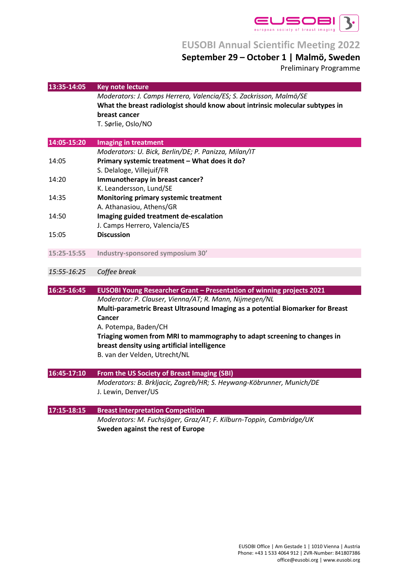

## **September 29 – October 1 | Malmö, Sweden**

Preliminary Programme

| 13:35-14:05 | <b>Key note lecture</b>                                                        |
|-------------|--------------------------------------------------------------------------------|
|             | Moderators: J. Camps Herrero, Valencia/ES; S. Zackrisson, Malmö/SE             |
|             | What the breast radiologist should know about intrinsic molecular subtypes in  |
|             | breast cancer                                                                  |
|             | T. Sørlie, Oslo/NO                                                             |
|             |                                                                                |
| 14:05-15:20 | <b>Imaging in treatment</b>                                                    |
|             | Moderators: U. Bick, Berlin/DE; P. Panizza, Milan/IT                           |
| 14:05       | Primary systemic treatment - What does it do?                                  |
|             | S. Delaloge, Villejuif/FR                                                      |
| 14:20       | Immunotherapy in breast cancer?                                                |
|             | K. Leandersson, Lund/SE                                                        |
| 14:35       | Monitoring primary systemic treatment                                          |
|             | A. Athanasiou, Athens/GR                                                       |
| 14:50       | Imaging guided treatment de-escalation<br>J. Camps Herrero, Valencia/ES        |
| 15:05       | <b>Discussion</b>                                                              |
|             |                                                                                |
| 15:25-15:55 | Industry-sponsored symposium 30'                                               |
| 15:55-16:25 | Coffee break                                                                   |
|             |                                                                                |
| 16:25-16:45 | EUSOBI Young Researcher Grant - Presentation of winning projects 2021          |
|             | Moderator: P. Clauser, Vienna/AT; R. Mann, Nijmegen/NL                         |
|             | Multi-parametric Breast Ultrasound Imaging as a potential Biomarker for Breast |
|             | Cancer                                                                         |
|             | A. Potempa, Baden/CH                                                           |
|             | Triaging women from MRI to mammography to adapt screening to changes in        |
|             | breast density using artificial intelligence<br>B. van der Velden, Utrecht/NL  |
|             |                                                                                |
| 16:45-17:10 | From the US Society of Breast Imaging (SBI)                                    |
|             | Moderators: B. Brkljacic, Zagreb/HR; S. Heywang-Köbrunner, Munich/DE           |
|             | J. Lewin, Denver/US                                                            |
| 17:15-18:15 | <b>Breast Interpretation Competition</b>                                       |
|             | Moderators: M. Fuchsjäger, Graz/AT; F. Kilburn-Toppin, Cambridge/UK            |
|             | Sweden against the rest of Europe                                              |
|             |                                                                                |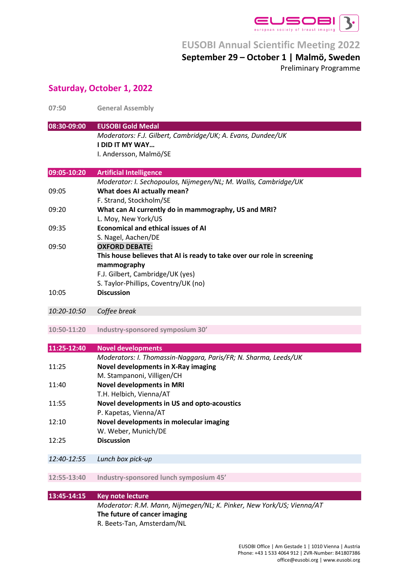

### **September 29 – October 1 | Malmö, Sweden**

Preliminary Programme

### **Saturday, October 1, 2022**

| 07:50       | <b>General Assembly</b>                                                 |
|-------------|-------------------------------------------------------------------------|
| 08:30-09:00 | <b>EUSOBI Gold Medal</b>                                                |
|             | Moderators: F.J. Gilbert, Cambridge/UK; A. Evans, Dundee/UK             |
|             | <b>I DID IT MY WAY</b>                                                  |
|             | I. Andersson, Malmö/SE                                                  |
| 09:05-10:20 | <b>Artificial Intelligence</b>                                          |
|             | Moderator: I. Sechopoulos, Nijmegen/NL; M. Wallis, Cambridge/UK         |
| 09:05       | What does AI actually mean?<br>F. Strand, Stockholm/SE                  |
| 09:20       | What can AI currently do in mammography, US and MRI?                    |
|             | L. Moy, New York/US                                                     |
| 09:35       | <b>Economical and ethical issues of AI</b>                              |
|             | S. Nagel, Aachen/DE                                                     |
| 09:50       | <b>OXFORD DEBATE:</b>                                                   |
|             | This house believes that AI is ready to take over our role in screening |
|             | mammography                                                             |
|             | F.J. Gilbert, Cambridge/UK (yes)                                        |
|             | S. Taylor-Phillips, Coventry/UK (no)                                    |
| 10:05       | <b>Discussion</b>                                                       |
| 10:20-10:50 | Coffee break                                                            |
|             |                                                                         |
| 10:50-11:20 | Industry-sponsored symposium 30'                                        |
| 11:25-12:40 | <b>Novel developments</b>                                               |
|             | Moderators: I. Thomassin-Naggara, Paris/FR; N. Sharma, Leeds/UK         |
| 11:25       | Novel developments in X-Ray imaging                                     |
|             | M. Stampanoni, Villigen/CH                                              |
| 11:40       | <b>Novel developments in MRI</b>                                        |
|             | T.H. Helbich, Vienna/AT                                                 |
| 11:55       | Novel developments in US and opto-acoustics                             |
|             | P. Kapetas, Vienna/AT                                                   |
| 12:10       | Novel developments in molecular imaging                                 |
|             | W. Weber, Munich/DE                                                     |
| 12:25       | <b>Discussion</b>                                                       |
|             |                                                                         |
| 12:40-12:55 | Lunch box pick-up                                                       |
| 12:55-13:40 | Industry-sponsored lunch symposium 45'                                  |
|             |                                                                         |
| 13:45-14:15 | <b>Key note lecture</b>                                                 |
|             | Moderator: R.M. Mann, Nijmegen/NL; K. Pinker, New York/US; Vienna/AT    |
|             | The future of cancer imaging                                            |
|             | R. Beets-Tan, Amsterdam/NL                                              |